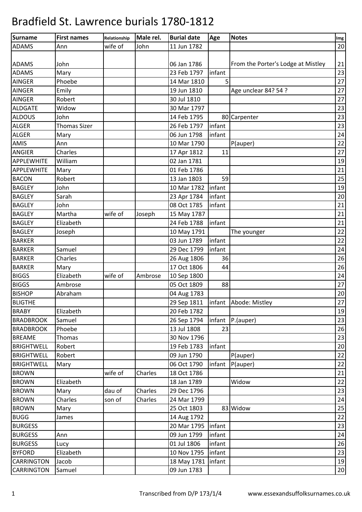| Surname           | <b>First names</b>  | Relationship | Male rel. | <b>Burial date</b>   | Age            | <b>Notes</b>                       | Img              |
|-------------------|---------------------|--------------|-----------|----------------------|----------------|------------------------------------|------------------|
| <b>ADAMS</b>      | Ann                 | wife of      | John      | 11 Jun 1782          |                |                                    | 20               |
|                   |                     |              |           |                      |                |                                    |                  |
| <b>ADAMS</b>      | John                |              |           | 06 Jan 1786          |                | From the Porter's Lodge at Mistley | 21               |
| <b>ADAMS</b>      | Mary                |              |           | 23 Feb 1797          | infant         |                                    | 23               |
| <b>AINGER</b>     | Phoebe              |              |           | 14 Mar 1810          | 5 <sup>1</sup> |                                    | 27               |
| <b>AINGER</b>     | Emily               |              |           | 19 Jun 1810          |                | Age unclear 84? 54 ?               | 27               |
| <b>AINGER</b>     | Robert              |              |           | 30 Jul 1810          |                |                                    | 27               |
| <b>ALDGATE</b>    | Widow               |              |           | 30 Mar 1797          |                |                                    | 23               |
| <b>ALDOUS</b>     | John                |              |           | 14 Feb 1795          |                | 80 Carpenter                       | 23               |
| <b>ALGER</b>      | <b>Thomas Sizer</b> |              |           | 26 Feb 1797          | infant         |                                    | 23               |
| <b>ALGER</b>      | Mary                |              |           | 06 Jun 1798          | infant         |                                    | 24               |
| AMIS              | Ann                 |              |           | 10 Mar 1790          |                | P(auper)                           | 22               |
| <b>ANGIER</b>     | Charles             |              |           | 17 Apr 1812          | 11             |                                    | 27               |
| APPLEWHITE        | William             |              |           | 02 Jan 1781          |                |                                    | 19               |
| APPLEWHITE        | Mary                |              |           | 01 Feb 1786          |                |                                    | 21               |
| <b>BACON</b>      | Robert              |              |           | 13 Jan 1803          | 59             |                                    | 25               |
| <b>BAGLEY</b>     | John                |              |           | 10 Mar 1782          | infant         |                                    | 19               |
| <b>BAGLEY</b>     | Sarah               |              |           | 23 Apr 1784          | infant         |                                    | 20               |
| <b>BAGLEY</b>     | John                |              |           | 08 Oct 1785          | infant         |                                    | 21               |
| <b>BAGLEY</b>     | Martha              | wife of      | Joseph    | 15 May 1787          |                |                                    | 21               |
| <b>BAGLEY</b>     | Elizabeth           |              |           | 24 Feb 1788          | infant         |                                    | 21               |
| <b>BAGLEY</b>     | Joseph              |              |           | 10 May 1791          |                | The younger                        | 22               |
| <b>BARKER</b>     |                     |              |           | 03 Jun 1789          | infant         |                                    | 22               |
| <b>BARKER</b>     | Samuel              |              |           | 29 Dec 1799          | infant         |                                    | 24               |
| <b>BARKER</b>     | Charles             |              |           | 26 Aug 1806          | 36             |                                    | 26               |
| <b>BARKER</b>     | Mary                |              |           | 17 Oct 1806          | 44             |                                    | 26               |
| <b>BIGGS</b>      | Elizabeth           | wife of      | Ambrose   | 10 Sep 1800          |                |                                    | 24               |
| <b>BIGGS</b>      | Ambrose             |              |           | 05 Oct 1809          | 88             |                                    | 27               |
| <b>BISHOP</b>     | Abraham             |              |           | 04 Aug 1783          |                |                                    | $20\,$           |
| <b>BLIGTHE</b>    |                     |              |           | 29 Sep 1811          |                | infant Abode: Mistley              | 27               |
| <b>BRABY</b>      | Elizabeth           |              |           | 20 Feb 1782          |                |                                    | 19               |
| <b>BRADBROOK</b>  | Samuel              |              |           | 26 Sep 1794          | infant         | $P$ .(auper)                       | 23               |
| <b>BRADBROOK</b>  | Phoebe              |              |           | 13 Jul 1808          | 23             |                                    | 26               |
| <b>BREAME</b>     | Thomas              |              |           | 30 Nov 1796          |                |                                    | 23               |
| <b>BRIGHTWELL</b> | Robert              |              |           | 19 Feb 1783          | infant         |                                    | 20               |
| <b>BRIGHTWELL</b> | Robert              |              |           | 09 Jun 1790          |                | P(auper)                           | 22               |
| <b>BRIGHTWELL</b> | Mary                |              |           | 06 Oct 1790          | infant         | P(auper)                           | 22               |
| <b>BROWN</b>      |                     | wife of      | Charles   | 18 Oct 1786          |                |                                    | 21               |
| <b>BROWN</b>      | Elizabeth           |              |           | 18 Jan 1789          |                | Widow                              | 22               |
| <b>BROWN</b>      | Mary                | dau of       | Charles   | 29 Dec 1796          |                |                                    | 23               |
| <b>BROWN</b>      | Charles             | son of       | Charles   | 24 Mar 1799          |                |                                    | 24               |
| <b>BROWN</b>      | Mary                |              |           | 25 Oct 1803          |                | 83 Widow                           | 25               |
| <b>BUGG</b>       | James               |              |           | 14 Aug 1792          |                |                                    | 22               |
| <b>BURGESS</b>    |                     |              |           | 20 Mar 1795          | infant         |                                    | 23               |
| <b>BURGESS</b>    | Ann                 |              |           | 09 Jun 1799          | infant         |                                    | 24               |
| <b>BURGESS</b>    | Lucy                |              |           | 01 Jul 1806          | infant         |                                    | 26               |
| <b>BYFORD</b>     | Elizabeth           |              |           | 10 Nov 1795          | infant         |                                    | 23               |
| <b>CARRINGTON</b> | Jacob               |              |           | 18 May 1781   infant |                |                                    | 19               |
| CARRINGTON        | Samuel              |              |           | 09 Jun 1783          |                |                                    | $20\phantom{.0}$ |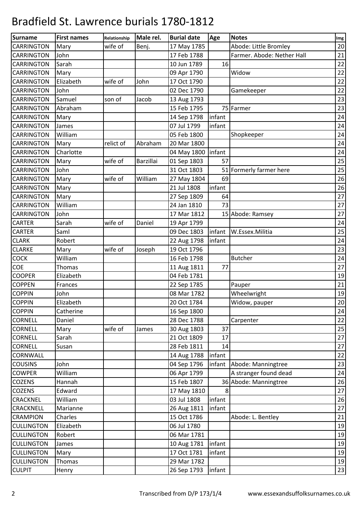| Surname           | <b>First names</b> | Relationship | Male rel.        | <b>Burial date</b>  | Age    | <b>Notes</b>               | Img |
|-------------------|--------------------|--------------|------------------|---------------------|--------|----------------------------|-----|
| <b>CARRINGTON</b> | Mary               | wife of      | Benj.            | 17 May 1785         |        | Abode: Little Bromley      | 20  |
| <b>CARRINGTON</b> | John               |              |                  | 17 Feb 1788         |        | Farmer. Abode: Nether Hall | 21  |
| <b>CARRINGTON</b> | Sarah              |              |                  | 10 Jun 1789         | 16     |                            | 22  |
| <b>CARRINGTON</b> | Mary               |              |                  | 09 Apr 1790         |        | Widow                      | 22  |
| <b>CARRINGTON</b> | Elizabeth          | wife of      | John             | 17 Oct 1790         |        |                            | 22  |
| <b>CARRINGTON</b> | John               |              |                  | 02 Dec 1790         |        | Gamekeeper                 | 22  |
| <b>CARRINGTON</b> | Samuel             | son of       | Jacob            | 13 Aug 1793         |        |                            | 23  |
| <b>CARRINGTON</b> | Abraham            |              |                  | 15 Feb 1795         |        | 75 Farmer                  | 23  |
| <b>CARRINGTON</b> | Mary               |              |                  | 14 Sep 1798         | infant |                            | 24  |
| <b>CARRINGTON</b> | James              |              |                  | 07 Jul 1799         | infant |                            | 24  |
| <b>CARRINGTON</b> | William            |              |                  | 05 Feb 1800         |        | Shopkeeper                 | 24  |
| <b>CARRINGTON</b> | Mary               | relict of    | Abraham          | 20 Mar 1800         |        |                            | 24  |
| <b>CARRINGTON</b> | Charlotte          |              |                  | 04 May 1800 linfant |        |                            | 24  |
| <b>CARRINGTON</b> | Mary               | wife of      | <b>Barzillai</b> | 01 Sep 1803         | 57     |                            | 25  |
| <b>CARRINGTON</b> | John               |              |                  | 31 Oct 1803         |        | 51 Formerly farmer here    | 25  |
| <b>CARRINGTON</b> | Mary               | wife of      | William          | 27 May 1804         | 69     |                            | 26  |
| <b>CARRINGTON</b> | Mary               |              |                  | 21 Jul 1808         | infant |                            | 26  |
| <b>CARRINGTON</b> | Mary               |              |                  | 27 Sep 1809         | 64     |                            | 27  |
| <b>CARRINGTON</b> | William            |              |                  | 24 Jan 1810         | 73     |                            | 27  |
| <b>CARRINGTON</b> | John               |              |                  | 17 Mar 1812         |        | 15 Abode: Ramsey           | 27  |
| <b>CARTER</b>     | Sarah              | wife of      | Daniel           | 19 Apr 1799         |        |                            | 24  |
| <b>CARTER</b>     | Saml               |              |                  | 09 Dec 1803         | infant | W.Essex.Militia            | 25  |
| <b>CLARK</b>      | Robert             |              |                  | 22 Aug 1798         | infant |                            | 24  |
| <b>CLARKE</b>     | Mary               | wife of      | Joseph           | 19 Oct 1796         |        |                            | 23  |
| COCK              | William            |              |                  | 16 Feb 1798         |        | <b>Butcher</b>             | 24  |
| COE               | Thomas             |              |                  | 11 Aug 1811         | 77     |                            | 27  |
| <b>COOPER</b>     | Elizabeth          |              |                  | 04 Feb 1781         |        |                            | 19  |
| <b>COPPEN</b>     | Frances            |              |                  | 22 Sep 1785         |        | Pauper                     | 21  |
| <b>COPPIN</b>     | John               |              |                  | 08 Mar 1782         |        | Wheelwright                | 19  |
| <b>COPPIN</b>     | Elizabeth          |              |                  | 20 Oct 1784         |        | Widow, pauper              | 20  |
| <b>COPPIN</b>     | Catherine          |              |                  | 16 Sep 1800         |        |                            | 24  |
| <b>CORNELL</b>    | Daniel             |              |                  | 28 Dec 1788         |        | Carpenter                  | 22  |
| <b>CORNELL</b>    | Mary               | wife of      | James            | 30 Aug 1803         | 37     |                            | 25  |
| <b>CORNELL</b>    | Sarah              |              |                  | 21 Oct 1809         | 17     |                            | 27  |
| <b>CORNELL</b>    | Susan              |              |                  | 28 Feb 1811         | 14     |                            | 27  |
| <b>CORNWALL</b>   |                    |              |                  | 14 Aug 1788         | infant |                            | 22  |
| <b>COUSINS</b>    | John               |              |                  | 04 Sep 1796         | infant | Abode: Manningtree         | 23  |
| <b>COWPER</b>     | William            |              |                  | 06 Apr 1799         |        | A stranger found dead      | 24  |
| <b>COZENS</b>     | Hannah             |              |                  | 15 Feb 1807         |        | 36 Abode: Manningtree      | 26  |
| COZENS            | Edward             |              |                  | 17 May 1810         | 8      |                            | 27  |
| <b>CRACKNEL</b>   | William            |              |                  | 03 Jul 1808         | infant |                            | 26  |
| CRACKNELL         | Marianne           |              |                  | 26 Aug 1811         | infant |                            | 27  |
| <b>CRAMPION</b>   | Charles            |              |                  | 15 Oct 1786         |        | Abode: L. Bentley          | 21  |
| <b>CULLINGTON</b> | Elizabeth          |              |                  | 06 Jul 1780         |        |                            | 19  |
| <b>CULLINGTON</b> | Robert             |              |                  | 06 Mar 1781         |        |                            | 19  |
| <b>CULLINGTON</b> | James              |              |                  | 10 Aug 1781         | infant |                            | 19  |
| <b>CULLINGTON</b> | Mary               |              |                  | 17 Oct 1781         | infant |                            | 19  |
| <b>CULLINGTON</b> | Thomas             |              |                  | 29 Mar 1782         |        |                            | 19  |
| <b>CULPIT</b>     | Henry              |              |                  | 26 Sep 1793         | infant |                            | 23  |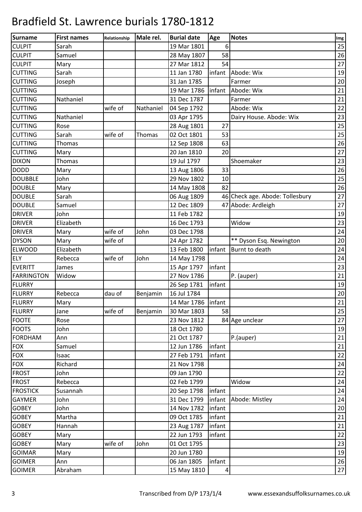| Surname           | <b>First names</b> | Relationship | Male rel. | <b>Burial date</b>   | Age    | <b>Notes</b>                    | Img  |
|-------------------|--------------------|--------------|-----------|----------------------|--------|---------------------------------|------|
| <b>CULPIT</b>     | Sarah              |              |           | 19 Mar 1801          | 6      |                                 | 25   |
| <b>CULPIT</b>     | Samuel             |              |           | 28 May 1807          | 58     |                                 | 26   |
| <b>CULPIT</b>     | Mary               |              |           | 27 Mar 1812          | 54     |                                 | $27$ |
| <b>CUTTING</b>    | Sarah              |              |           | 11 Jan 1780          | infant | Abode: Wix                      | 19   |
| <b>CUTTING</b>    | Joseph             |              |           | 31 Jan 1785          |        | Farmer                          | 20   |
| <b>CUTTING</b>    |                    |              |           | 19 Mar 1786          | infant | Abode: Wix                      | 21   |
| <b>CUTTING</b>    | Nathaniel          |              |           | 31 Dec 1787          |        | Farmer                          | 21   |
| <b>CUTTING</b>    |                    | wife of      | Nathaniel | 04 Sep 1792          |        | Abode: Wix                      | 22   |
| <b>CUTTING</b>    | Nathaniel          |              |           | 03 Apr 1795          |        | Dairy House. Abode: Wix         | 23   |
| <b>CUTTING</b>    | Rose               |              |           | 28 Aug 1801          | 27     |                                 | 25   |
| <b>CUTTING</b>    | Sarah              | wife of      | Thomas    | 02 Oct 1801          | 53     |                                 | 25   |
| <b>CUTTING</b>    | Thomas             |              |           | 12 Sep 1808          | 63     |                                 | 26   |
| <b>CUTTING</b>    | Mary               |              |           | 20 Jan 1810          | 20     |                                 | 27   |
| <b>DIXON</b>      | Thomas             |              |           | 19 Jul 1797          |        | Shoemaker                       | 23   |
| <b>DODD</b>       | Mary               |              |           | 13 Aug 1806          | 33     |                                 | 26   |
| <b>DOUBBLE</b>    | John               |              |           | 29 Nov 1802          | 10     |                                 | 25   |
| <b>DOUBLE</b>     | Mary               |              |           | 14 May 1808          | 82     |                                 | 26   |
| <b>DOUBLE</b>     | Sarah              |              |           | 06 Aug 1809          |        | 46 Check age. Abode: Tollesbury | 27   |
| <b>DOUBLE</b>     | Samuel             |              |           | 12 Dec 1809          |        | 47 Abode: Ardleigh              | 27   |
| <b>DRIVER</b>     | John               |              |           | 11 Feb 1782          |        |                                 | 19   |
| <b>DRIVER</b>     | Elizabeth          |              |           | 16 Dec 1793          |        | Widow                           | 23   |
| <b>DRIVER</b>     | Mary               | wife of      | John      | 03 Dec 1798          |        |                                 | 24   |
| <b>DYSON</b>      | Mary               | wife of      |           | 24 Apr 1782          |        | ** Dyson Esq. Newington         | 20   |
| <b>ELWOOD</b>     | Elizabeth          |              |           | 13 Feb 1800          | infant | Burnt to death                  | 24   |
| <b>ELY</b>        | Rebecca            | wife of      | John      | 14 May 1798          |        |                                 | 24   |
| <b>EVERITT</b>    | James              |              |           | 15 Apr 1797          | infant |                                 | 23   |
| <b>FARRINGTON</b> | Widow              |              |           | 27 Nov 1786          |        | P. (auper)                      | 21   |
| <b>FLURRY</b>     |                    |              |           | 26 Sep 1781          | infant |                                 | 19   |
| <b>FLURRY</b>     | Rebecca            | dau of       | Benjamin  | 16 Jul 1784          |        |                                 | 20   |
| <b>FLURRY</b>     | Mary               |              |           | 14 Mar 1786   infant |        |                                 | 21   |
| <b>FLURRY</b>     | Jane               | wife of      | Benjamin  | 30 Mar 1803          | 58     |                                 | 25   |
| <b>FOOTE</b>      | Rose               |              |           | 23 Nov 1812          |        | 84 Age unclear                  | 27   |
| <b>FOOTS</b>      | John               |              |           | 18 Oct 1780          |        |                                 | 19   |
| <b>FORDHAM</b>    | Ann                |              |           | 21 Oct 1787          |        | P.(auper)                       | 21   |
| <b>FOX</b>        | Samuel             |              |           | 12 Jun 1786          | infant |                                 | 21   |
| <b>FOX</b>        | Isaac              |              |           | 27 Feb 1791          | infant |                                 | 22   |
| <b>FOX</b>        | Richard            |              |           | 21 Nov 1798          |        |                                 | 24   |
| <b>FROST</b>      | John               |              |           | 09 Jan 1790          |        |                                 | 22   |
| <b>FROST</b>      | Rebecca            |              |           | 02 Feb 1799          |        | Widow                           | 24   |
| <b>FROSTICK</b>   | Susannah           |              |           | 20 Sep 1798          | infant |                                 | 24   |
| <b>GAYMER</b>     | John               |              |           | 31 Dec 1799          | infant | Abode: Mistley                  | 24   |
| <b>GOBEY</b>      | John               |              |           | 14 Nov 1782          | infant |                                 | 20   |
| <b>GOBEY</b>      | Martha             |              |           | 09 Oct 1785          | infant |                                 | 21   |
| <b>GOBEY</b>      | Hannah             |              |           | 23 Aug 1787          | infant |                                 | 21   |
| <b>GOBEY</b>      | Mary               |              |           | 22 Jun 1793          | infant |                                 | 22   |
| <b>GOBEY</b>      | Mary               | wife of      | John      | 01 Oct 1795          |        |                                 | 23   |
| <b>GOIMAR</b>     | Mary               |              |           | 20 Jun 1780          |        |                                 | 19   |
| <b>GOIMER</b>     | Ann                |              |           | 06 Jan 1805          | infant |                                 | 26   |
| <b>GOIMER</b>     | Abraham            |              |           | 15 May 1810          | 4      |                                 | $27$ |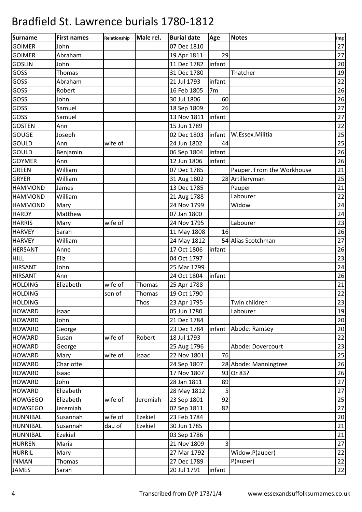| <b>Surname</b>  | <b>First names</b> | Relationship | Male rel.   | <b>Burial date</b> | Age            | <b>Notes</b>               | Img  |
|-----------------|--------------------|--------------|-------------|--------------------|----------------|----------------------------|------|
| <b>GOIMER</b>   | John               |              |             | 07 Dec 1810        |                |                            | 27   |
| <b>GOIMER</b>   | Abraham            |              |             | 19 Apr 1811        | 29             |                            | 27   |
| <b>GOSLIN</b>   | John               |              |             | 11 Dec 1782        | linfant        |                            | 20   |
| GOSS            | <b>Thomas</b>      |              |             | 31 Dec 1780        |                | Thatcher                   | 19   |
| GOSS            | Abraham            |              |             | 21 Jul 1793        | infant         |                            | 22   |
| GOSS            | Robert             |              |             | 16 Feb 1805        | 7 <sub>m</sub> |                            | 26   |
| GOSS            | John               |              |             | 30 Jul 1806        | 60             |                            | 26   |
| GOSS            | Samuel             |              |             | 18 Sep 1809        | 26             |                            | 27   |
| GOSS            | Samuel             |              |             | 13 Nov 1811        | infant         |                            | 27   |
| <b>GOSTEN</b>   | Ann                |              |             | 15 Jun 1789        |                |                            | 22   |
| <b>GOUGE</b>    | Joseph             |              |             | 02 Dec 1803        | infant         | W.Essex.Militia            | 25   |
| GOULD           | Ann                | wife of      |             | 24 Jun 1802        | 44             |                            | 25   |
| GOULD           | Benjamin           |              |             | 06 Sep 1804        | infant         |                            | 26   |
| <b>GOYMER</b>   | Ann                |              |             | 12 Jun 1806        | infant         |                            | 26   |
| <b>GREEN</b>    | William            |              |             | 07 Dec 1785        |                | Pauper. From the Workhouse | 21   |
| <b>GRYER</b>    | William            |              |             | 31 Aug 1802        |                | 28 Artilleryman            | 25   |
| <b>HAMMOND</b>  | James              |              |             | 13 Dec 1785        |                | Pauper                     | 21   |
| <b>HAMMOND</b>  | William            |              |             | 21 Aug 1788        |                | Labourer                   | 22   |
| <b>HAMMOND</b>  | Mary               |              |             | 24 Nov 1799        |                | Widow                      | 24   |
| <b>HARDY</b>    | Matthew            |              |             | 07 Jan 1800        |                |                            | 24   |
| <b>HARRIS</b>   | Mary               | wife of      |             | 24 Nov 1795        |                | Labourer                   | 23   |
| <b>HARVEY</b>   | Sarah              |              |             | 11 May 1808        | 16             |                            | 26   |
| <b>HARVEY</b>   | William            |              |             | 24 May 1812        |                | 54 Alias Scotchman         | 27   |
| <b>HERSANT</b>  | Anne               |              |             | 17 Oct 1806        | infant         |                            | 26   |
| <b>HILL</b>     | Eliz               |              |             | 04 Oct 1797        |                |                            | 23   |
| <b>HIRSANT</b>  | John               |              |             | 25 Mar 1799        |                |                            | 24   |
| <b>HIRSANT</b>  | Ann                |              |             | 24 Oct 1804        | infant         |                            | 26   |
| <b>HOLDING</b>  | Elizabeth          | wife of      | Thomas      | 25 Apr 1788        |                |                            | 21   |
| <b>HOLDING</b>  |                    | son of       | Thomas      | 19 Oct 1790        |                |                            | 22   |
| <b>HOLDING</b>  |                    |              | <b>Thos</b> | 23 Apr 1795        |                | Twin children              | 23   |
| <b>HOWARD</b>   | Isaac              |              |             | 05 Jun 1780        |                | Labourer                   | 19   |
| <b>HOWARD</b>   | John               |              |             | 21 Dec 1784        |                |                            | 20   |
| <b>HOWARD</b>   | George             |              |             | 23 Dec 1784        | infant         | Abode: Ramsey              | 20   |
| <b>HOWARD</b>   | Susan              | wife of      | Robert      | 18 Jul 1793        |                |                            | 22   |
| <b>HOWARD</b>   | George             |              |             | 25 Aug 1796        |                | Abode: Dovercourt          | 23   |
| <b>HOWARD</b>   | Mary               | wife of      | Isaac       | 22 Nov 1801        | 76             |                            | 25   |
| <b>HOWARD</b>   | Charlotte          |              |             | 24 Sep 1807        |                | 28 Abode: Manningtree      | 26   |
| <b>HOWARD</b>   | Isaac              |              |             | 17 Nov 1807        |                | 93 Or 83?                  | 26   |
| <b>HOWARD</b>   | John               |              |             | 28 Jan 1811        | 89             |                            | $27$ |
| <b>HOWARD</b>   | Elizabeth          |              |             | 28 May 1812        | 5              |                            | 27   |
| <b>HOWGEGO</b>  | Elizabeth          | wife of      | Jeremiah    | 23 Sep 1801        | 92             |                            | 25   |
| <b>HOWGEGO</b>  | Jeremiah           |              |             | 02 Sep 1811        | 82             |                            | 27   |
| <b>HUNNIBAL</b> | Susannah           | wife of      | Ezekiel     | 23 Feb 1784        |                |                            | 20   |
| <b>HUNNIBAL</b> | Susannah           | dau of       | Ezekiel     | 30 Jun 1785        |                |                            | 21   |
| <b>HUNNIBAL</b> | Ezekiel            |              |             | 03 Sep 1786        |                |                            | 21   |
| <b>HURREN</b>   | Maria              |              |             | 21 Nov 1809        | $\overline{3}$ |                            | 27   |
| <b>HURRIL</b>   | Mary               |              |             | 27 Mar 1792        |                | Widow.P(auper)             | 22   |
| <b>INMAN</b>    | Thomas             |              |             | 27 Dec 1789        |                | P(auper)                   | 22   |
| JAMES           | Sarah              |              |             | 20 Jul 1791        | infant         |                            | 22   |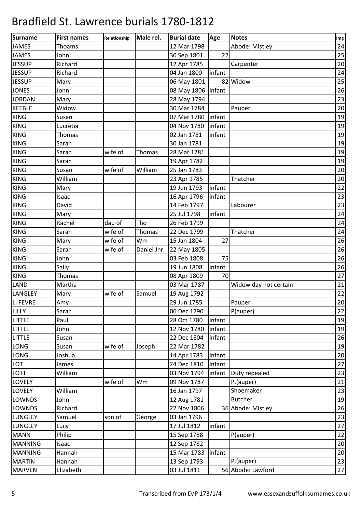| Surname        | <b>First names</b> | Relationship | Male rel.     | <b>Burial date</b>  | Age    | <b>Notes</b>          | Img    |
|----------------|--------------------|--------------|---------------|---------------------|--------|-----------------------|--------|
| <b>JAMES</b>   | Thoams             |              |               | 12 Mar 1798         |        | Abode: Mistley        | 24     |
| <b>JAMES</b>   | John               |              |               | 30 Sep 1801         | 22     |                       | 25     |
| <b>JESSUP</b>  | Richard            |              |               | 12 Apr 1785         |        | Carpenter             | 20     |
| <b>JESSUP</b>  | Richard            |              |               | 04 Jan 1800         | infant |                       | 24     |
| <b>JESSUP</b>  | Mary               |              |               | 06 May 1801         |        | 82 Widow              | 25     |
| <b>JONES</b>   | John               |              |               | 08 May 1806 linfant |        |                       | 26     |
| <b>JORDAN</b>  | Mary               |              |               | 28 May 1794         |        |                       | 23     |
| <b>KEEBLE</b>  | Widow              |              |               | 30 Mar 1784         |        | Pauper                | 20     |
| <b>KING</b>    | Susan              |              |               | 07 Mar 1780         | infant |                       | 19     |
| <b>KING</b>    | Lucretia           |              |               | 04 Nov 1780         | infant |                       | 19     |
| <b>KING</b>    | Thomas             |              |               | 02 Jan 1781         | infant |                       | 19     |
| <b>KING</b>    | Sarah              |              |               | 30 Jan 1781         |        |                       | 19     |
| <b>KING</b>    | Sarah              | wife of      | Thomas        | 28 Mar 1781         |        |                       | 19     |
| <b>KING</b>    | Sarah              |              |               | 19 Apr 1782         |        |                       | 19     |
| <b>KING</b>    | Susan              | wife of      | William       | 25 Jan 1783         |        |                       | 20     |
| <b>KING</b>    | William            |              |               | 23 Apr 1785         |        | Thatcher              | 20     |
| <b>KING</b>    | Mary               |              |               | 19 Jun 1793         | infant |                       | 22     |
| <b>KING</b>    | Isaac              |              |               | 16 Apr 1796         | infant |                       | 23     |
| <b>KING</b>    | David              |              |               | 14 Feb 1797         |        | Labourer              | 23     |
| <b>KING</b>    | Mary               |              |               | 25 Jul 1798         | infant |                       | 24     |
| <b>KING</b>    | Rachel             | dau of       | Tho           | 26 Feb 1799         |        |                       | 24     |
| <b>KING</b>    | Sarah              | wife of      | <b>Thomas</b> | 22 Dec 1799         |        | Thatcher              | 24     |
| <b>KING</b>    | Mary               | wife of      | Wm            | 15 Jan 1804         | 27     |                       | 26     |
| <b>KING</b>    | Sarah              | wife of      | Daniel Jnr    | 22 May 1805         |        |                       | 26     |
| <b>KING</b>    | John               |              |               | 03 Feb 1808         | 75     |                       | 26     |
| <b>KING</b>    | Sally              |              |               | 19 Jun 1808         | infant |                       | 26     |
| <b>KING</b>    | Thomas             |              |               | 08 Apr 1809         | 70     |                       | 27     |
| <b>LAND</b>    | Martha             |              |               | 03 Mar 1787         |        | Widow day not certain | 21     |
| LANGLEY        | Mary               | wife of      | Samuel        | 19 Aug 1792         |        |                       | 22     |
| LI FEVRE       | Amy                |              |               | 29 Jun 1785         |        | Pauper                | 20     |
| LILLY          | Sarah              |              |               | 06 Dec 1790         |        | P(auper)              | 22     |
| <b>LITTLE</b>  | Paul               |              |               | 28 Oct 1780         | infant |                       | 19     |
| LITTLE         | John               |              |               | 12 Nov 1780         | infant |                       | 19     |
| LITTLE         | Susan              |              |               | 22 Dec 1804         | infant |                       | 26     |
| <b>LONG</b>    | Susan              | wife of      | Joseph        | 22 Mar 1782         |        |                       | 19     |
| LONG           | Joshua             |              |               | 14 Apr 1783         | infant |                       | $20\,$ |
| LOT            | James              |              |               | 24 Dec 1810         | infant |                       | 27     |
| <b>LOTT</b>    | William            |              |               | 03 Nov 1794         | infant | Duty repealed         | 23     |
| <b>LOVELY</b>  |                    | wife of      | Wm            | 09 Nov 1787         |        | P.(auper)             | 21     |
| <b>LOVELY</b>  | William            |              |               | 16 Jan 1797         |        | Shoemaker             | 23     |
| <b>LOWNDS</b>  | John               |              |               | 12 Aug 1781         |        | <b>Butcher</b>        | 19     |
| LOWNDS         | Richard            |              |               | 22 Nov 1806         |        | 36 Abode: Mistley     | 26     |
| <b>LUNGLEY</b> | Samuel             | son of       | George        | 03 Jan 1796         |        |                       | 23     |
| <b>LUNGLEY</b> | Lucy               |              |               | 17 Jul 1812         | infant |                       | $27\,$ |
| <b>MANN</b>    | Philip             |              |               | 15 Sep 1788         |        | P(auper)              | 22     |
| <b>MANNING</b> | Isaac              |              |               | 12 Sep 1782         |        |                       | 20     |
| <b>MANNING</b> | Hannah             |              |               | 15 Mar 1783         | infant |                       | 20     |
| <b>MARTIN</b>  | Hannah             |              |               | 13 Sep 1793         |        | P.(auper)             | 23     |
| <b>MARVEN</b>  | Elizabeth          |              |               | 03 Jul 1811         |        | 56 Abode: Lawford     | 27     |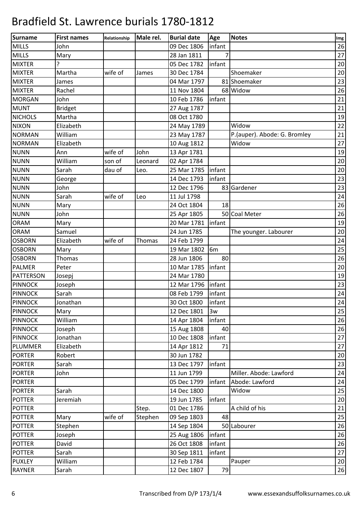| Surname          | <b>First names</b> | Relationship | Male rel.     | <b>Burial date</b> | Age            | <b>Notes</b>                 | Img |
|------------------|--------------------|--------------|---------------|--------------------|----------------|------------------------------|-----|
| <b>MILLS</b>     | John               |              |               | 09 Dec 1806        | infant         |                              | 26  |
| <b>MILLS</b>     | Mary               |              |               | 28 Jan 1811        | 7              |                              | 27  |
| <b>MIXTER</b>    | Ç                  |              |               | 05 Dec 1782        | infant         |                              | 20  |
| <b>MIXTER</b>    | Martha             | wife of      | James         | 30 Dec 1784        |                | Shoemaker                    | 20  |
| <b>MIXTER</b>    | James              |              |               | 04 Mar 1797        |                | 81 Shoemaker                 | 23  |
| <b>MIXTER</b>    | Rachel             |              |               | 11 Nov 1804        |                | 68 Widow                     | 26  |
| <b>MORGAN</b>    | John               |              |               | 10 Feb 1786        | infant         |                              | 21  |
| <b>MUNT</b>      | <b>Bridget</b>     |              |               | 27 Aug 1787        |                |                              | 21  |
| <b>NICHOLS</b>   | Martha             |              |               | 08 Oct 1780        |                |                              | 19  |
| <b>NIXON</b>     | Elizabeth          |              |               | 24 May 1789        |                | Widow                        | 22  |
| <b>NORMAN</b>    | William            |              |               | 23 May 1787        |                | P.(auper). Abode: G. Bromley | 21  |
| <b>NORMAN</b>    | Elizabeth          |              |               | 10 Aug 1812        |                | Widow                        | 27  |
| <b>NUNN</b>      | Ann                | wife of      | John          | 13 Apr 1781        |                |                              | 19  |
| <b>NUNN</b>      | William            | son of       | Leonard       | 02 Apr 1784        |                |                              | 20  |
| <b>NUNN</b>      | Sarah              | dau of       | Leo.          | 25 Mar 1785        | infant         |                              | 20  |
| <b>NUNN</b>      | George             |              |               | 14 Dec 1793        | infant         |                              | 23  |
| <b>NUNN</b>      | John               |              |               | 12 Dec 1796        |                | 83 Gardener                  | 23  |
| <b>NUNN</b>      | Sarah              | wife of      | Leo           | 11 Jul 1798        |                |                              | 24  |
| <b>NUNN</b>      | Mary               |              |               | 24 Oct 1804        | 18             |                              | 26  |
| <b>NUNN</b>      | John               |              |               | 25 Apr 1805        |                | 50 Coal Meter                | 26  |
| <b>ORAM</b>      | Mary               |              |               | 20 Mar 1781        | infant         |                              | 19  |
| <b>ORAM</b>      | Samuel             |              |               | 24 Jun 1785        |                | The younger. Labourer        | 20  |
| <b>OSBORN</b>    | Elizabeth          | wife of      | <b>Thomas</b> | 24 Feb 1799        |                |                              | 24  |
| <b>OSBORN</b>    | Mary               |              |               | 19 Mar 1802        | 6 <sub>m</sub> |                              | 25  |
| <b>OSBORN</b>    | Thomas             |              |               | 28 Jun 1806        | 80             |                              | 26  |
| <b>PALMER</b>    | Peter              |              |               | 10 Mar 1785        | infant         |                              | 20  |
| <b>PATTERSON</b> | Josepj             |              |               | 24 Mar 1780        |                |                              | 19  |
| <b>PINNOCK</b>   | Joseph             |              |               | 12 Mar 1796        | linfant        |                              | 23  |
| <b>PINNOCK</b>   | Sarah              |              |               | 08 Feb 1799        | infant         |                              | 24  |
| <b>PINNOCK</b>   | Jonathan           |              |               | 30 Oct 1800        | infant         |                              | 24  |
| PINNOCK          | Mary               |              |               | 12 Dec 1801        | 3w             |                              | 25  |
| <b>PINNOCK</b>   | William            |              |               | 14 Apr 1804        | infant         |                              | 26  |
| <b>PINNOCK</b>   | Joseph             |              |               | 15 Aug 1808        | 40             |                              | 26  |
| <b>PINNOCK</b>   | Jonathan           |              |               | 10 Dec 1808        | infant         |                              | 27  |
| PLUMMER          | Elizabeth          |              |               | 14 Apr 1812        | 71             |                              | 27  |
| <b>PORTER</b>    | Robert             |              |               | 30 Jun 1782        |                |                              | 20  |
| <b>PORTER</b>    | Sarah              |              |               | 13 Dec 1797        | infant         |                              | 23  |
| <b>PORTER</b>    | John               |              |               | 11 Jun 1799        |                | Miller. Abode: Lawford       | 24  |
| <b>PORTER</b>    |                    |              |               | 05 Dec 1799        | infant         | Abode: Lawford               | 24  |
| <b>PORTER</b>    | Sarah              |              |               | 14 Dec 1800        |                | Widow                        | 25  |
| <b>POTTER</b>    | Jeremiah           |              |               | 19 Jun 1785        | infant         |                              | 20  |
| <b>POTTER</b>    |                    |              | Step.         | 01 Dec 1786        |                | A child of his               | 21  |
| <b>POTTER</b>    | Mary               | wife of      | Stephen       | 09 Sep 1803        | 48             |                              | 25  |
| <b>POTTER</b>    | Stephen            |              |               | 14 Sep 1804        |                | 50 Labourer                  | 26  |
| <b>POTTER</b>    | Joseph             |              |               | 25 Aug 1806        | infant         |                              | 26  |
| <b>POTTER</b>    | David              |              |               | 26 Oct 1808        | infant         |                              | 26  |
| <b>POTTER</b>    | Sarah              |              |               | 30 Sep 1811        | infant         |                              | 27  |
| <b>PUXLEY</b>    | William            |              |               | 12 Feb 1784        |                | Pauper                       | 20  |
| <b>RAYNER</b>    | Sarah              |              |               | 12 Dec 1807        | 79             |                              | 26  |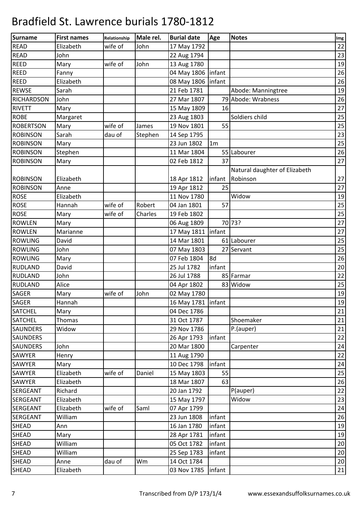| Surname           | <b>First names</b> | Relationship | Male rel. | <b>Burial date</b>   | Age            | <b>Notes</b>                  | Img    |
|-------------------|--------------------|--------------|-----------|----------------------|----------------|-------------------------------|--------|
| <b>READ</b>       | Elizabeth          | wife of      | John      | 17 May 1792          |                |                               | 22     |
| <b>READ</b>       | John               |              |           | 22 Aug 1794          |                |                               | 23     |
| <b>REED</b>       | Mary               | wife of      | John      | 13 Aug 1780          |                |                               | 19     |
| <b>REED</b>       | Fanny              |              |           | 04 May 1806   infant |                |                               | 26     |
| <b>REED</b>       | Elizabeth          |              |           | 08 May 1806   infant |                |                               | 26     |
| <b>REWSE</b>      | Sarah              |              |           | 21 Feb 1781          |                | Abode: Manningtree            | 19     |
| <b>RICHARDSON</b> | John               |              |           | 27 Mar 1807          |                | 79 Abode: Wrabness            | 26     |
| <b>RIVETT</b>     | Mary               |              |           | 15 May 1809          | 16             |                               | $27\,$ |
| <b>ROBE</b>       | Margaret           |              |           | 23 Aug 1803          |                | Soldiers child                | 25     |
| <b>ROBERTSON</b>  | Mary               | wife of      | James     | 19 Nov 1801          | 55             |                               | 25     |
| <b>ROBINSON</b>   | Sarah              | dau of       | Stephen   | 14 Sep 1795          |                |                               | 23     |
| <b>ROBINSON</b>   | Mary               |              |           | 23 Jun 1802          | 1 <sub>m</sub> |                               | 25     |
| <b>ROBINSON</b>   | Stephen            |              |           | 11 Mar 1804          |                | 55 Labourer                   | 26     |
| <b>ROBINSON</b>   | Mary               |              |           | 02 Feb 1812          | 37             |                               | 27     |
|                   |                    |              |           |                      |                | Natural daughter of Elizabeth |        |
| <b>ROBINSON</b>   | Elizabeth          |              |           | 18 Apr 1812          | linfant        | Robinson                      | 27     |
| <b>ROBINSON</b>   | Anne               |              |           | 19 Apr 1812          | 25             |                               | 27     |
| <b>ROSE</b>       | Elizabeth          |              |           | 11 Nov 1780          |                | Widow                         | 19     |
| <b>ROSE</b>       | Hannah             | wife of      | Robert    | 04 Jan 1801          | 57             |                               | 25     |
| <b>ROSE</b>       | Mary               | wife of      | Charles   | 19 Feb 1802          |                |                               | 25     |
| <b>ROWLEN</b>     | Mary               |              |           | 06 Aug 1809          |                | 70 73?                        | 27     |
| <b>ROWLEN</b>     | Marianne           |              |           | 17 May 1811 linfant  |                |                               | 27     |
| <b>ROWLING</b>    | David              |              |           | 14 Mar 1801          |                | 61 Labourer                   | 25     |
| <b>ROWLING</b>    | John               |              |           | 07 May 1803          |                | 27 Servant                    | 25     |
| <b>ROWLING</b>    | Mary               |              |           | 07 Feb 1804          | 8d             |                               | 26     |
| <b>RUDLAND</b>    | David              |              |           | 25 Jul 1782          | infant         |                               | 20     |
| <b>RUDLAND</b>    | John               |              |           | 26 Jul 1788          |                | 85 Farmar                     | 22     |
| <b>RUDLAND</b>    | Alice              |              |           | 04 Apr 1802          |                | 83 Widow                      | 25     |
| <b>SAGER</b>      | Mary               | wife of      | John      | 02 May 1780          |                |                               | 19     |
| <b>SAGER</b>      | Hannah             |              |           | 16 May 1781   infant |                |                               | 19     |
| <b>SATCHEL</b>    | Mary               |              |           | 04 Dec 1786          |                |                               | 21     |
| <b>SATCHEL</b>    | Thomas             |              |           | 31 Oct 1787          |                | Shoemaker                     | 21     |
| <b>SAUNDERS</b>   | Widow              |              |           | 29 Nov 1786          |                | P.(auper)                     | 21     |
| <b>SAUNDERS</b>   |                    |              |           | 26 Apr 1793          | infant         |                               | 22     |
| <b>SAUNDERS</b>   | John               |              |           | 20 Mar 1800          |                | Carpenter                     | 24     |
| SAWYER            | Henry              |              |           | 11 Aug 1790          |                |                               | 22     |
| SAWYER            | Mary               |              |           | 10 Dec 1798          | infant         |                               | 24     |
| SAWYER            | Elizabeth          | wife of      | Daniel    | 15 May 1803          | 55             |                               | 25     |
| SAWYER            | Elizabeth          |              |           | 18 Mar 1807          | 63             |                               | 26     |
| <b>SERGEANT</b>   | Richard            |              |           | 20 Jan 1792          |                | P(auper)                      | 22     |
| <b>SERGEANT</b>   | Elizabeth          |              |           | 15 May 1797          |                | Widow                         | 23     |
| <b>SERGEANT</b>   | Elizabeth          | wife of      | Saml      | 07 Apr 1799          |                |                               | 24     |
| <b>SERGEANT</b>   | William            |              |           | 23 Jun 1808          | infant         |                               | 26     |
| SHEAD             | Ann                |              |           | 16 Jan 1780          | infant         |                               | 19     |
| <b>SHEAD</b>      | Mary               |              |           | 28 Apr 1781          | infant         |                               | 19     |
| <b>SHEAD</b>      | William            |              |           | 05 Oct 1782          | infant         |                               | 20     |
| <b>SHEAD</b>      | William            |              |           | 25 Sep 1783          | infant         |                               | 20     |
| <b>SHEAD</b>      | Anne               | dau of       | Wm        | 14 Oct 1784          |                |                               | 20     |
| <b>SHEAD</b>      | Elizabeth          |              |           | 03 Nov 1785          | infant         |                               | 21     |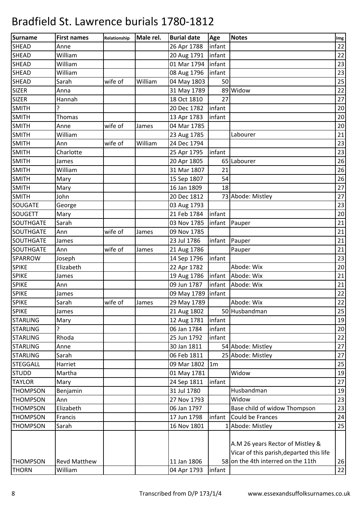| <b>Surname</b>   | <b>First names</b>  | Relationship | Male rel. | <b>Burial date</b> | Age            | <b>Notes</b>                             | Img    |
|------------------|---------------------|--------------|-----------|--------------------|----------------|------------------------------------------|--------|
| SHEAD            | Anne                |              |           | 26 Apr 1788        | infant         |                                          | 22     |
| <b>SHEAD</b>     | William             |              |           | 20 Aug 1791        | infant         |                                          | 22     |
| <b>SHEAD</b>     | William             |              |           | 01 Mar 1794        | infant         |                                          | 23     |
| <b>SHEAD</b>     | William             |              |           | 08 Aug 1796        | infant         |                                          | 23     |
| <b>SHEAD</b>     | Sarah               | wife of      | William   | 04 May 1803        | 50             |                                          | 25     |
| <b>SIZER</b>     | Anna                |              |           | 31 May 1789        |                | 89 Widow                                 | 22     |
| <b>SIZER</b>     | Hannah              |              |           | 18 Oct 1810        | 27             |                                          | 27     |
| <b>SMITH</b>     | ?                   |              |           | 20 Dec 1782        | infant         |                                          | $20\,$ |
| <b>SMITH</b>     | Thomas              |              |           | 13 Apr 1783        | infant         |                                          | $20\,$ |
| <b>SMITH</b>     | Anne                | wife of      | James     | 04 Mar 1785        |                |                                          | 20     |
| <b>SMITH</b>     | William             |              |           | 23 Aug 1785        |                | Labourer                                 | 21     |
| <b>SMITH</b>     | Ann                 | wife of      | William   | 24 Dec 1794        |                |                                          | 23     |
| <b>SMITH</b>     | Charlotte           |              |           | 25 Apr 1795        | infant         |                                          | 23     |
| <b>SMITH</b>     | James               |              |           | 20 Apr 1805        |                | 65 Labourer                              | 26     |
| <b>SMITH</b>     | William             |              |           | 31 Mar 1807        | 21             |                                          | 26     |
| <b>SMITH</b>     | Mary                |              |           | 15 Sep 1807        | 54             |                                          | 26     |
| <b>SMITH</b>     | Mary                |              |           | 16 Jan 1809        | 18             |                                          | 27     |
| <b>SMITH</b>     | John                |              |           | 20 Dec 1812        |                | 73 Abode: Mistley                        | 27     |
| <b>SOUGATE</b>   | George              |              |           | 03 Aug 1793        |                |                                          | 23     |
| <b>SOUGETT</b>   | Mary                |              |           | 21 Feb 1784        | infant         |                                          | 20     |
| <b>SOUTHGATE</b> | Sarah               |              |           | 03 Nov 1785        | infant         | Pauper                                   | 21     |
| <b>SOUTHGATE</b> | Ann                 | wife of      | James     | 09 Nov 1785        |                |                                          | 21     |
| <b>SOUTHGATE</b> | James               |              |           | 23 Jul 1786        | infant         | Pauper                                   | 21     |
| SOUTHGATE        | Ann                 | wife of      | James     | 21 Aug 1786        |                | Pauper                                   | 21     |
| SPARROW          | Joseph              |              |           | 14 Sep 1796        | infant         |                                          | 23     |
| <b>SPIKE</b>     | Elizabeth           |              |           | 22 Apr 1782        |                | Abode: Wix                               | 20     |
| <b>SPIKE</b>     | James               |              |           | 19 Aug 1786        | infant         | Abode: Wix                               | 21     |
| <b>SPIKE</b>     | Ann                 |              |           | 09 Jun 1787        | infant         | Abode: Wix                               | 21     |
| <b>SPIKE</b>     | James               |              |           | 09 May 1789        | infant         |                                          | 22     |
| <b>SPIKE</b>     | Sarah               | wife of      | James     | 29 May 1789        |                | Abode: Wix                               | 22     |
| <b>SPIKE</b>     | James               |              |           | 21 Aug 1802        |                | 50 Husbandman                            | 25     |
| <b>STARLING</b>  | Mary                |              |           | 12 Aug 1781        | infant         |                                          | 19     |
| <b>STARLING</b>  | ?                   |              |           | 06 Jan 1784        | infant         |                                          | 20     |
| <b>STARLING</b>  | Rhoda               |              |           | 25 Jun 1792        | infant         |                                          | 22     |
| <b>STARLING</b>  | Anne                |              |           | 30 Jan 1811        |                | 54 Abode: Mistley                        | 27     |
| <b>STARLING</b>  | Sarah               |              |           | 06 Feb 1811        |                | 25 Abode: Mistley                        | 27     |
| <b>STEGGALL</b>  | Harriet             |              |           | 09 Mar 1802        | 1 <sub>m</sub> |                                          | 25     |
| <b>STUDD</b>     | Martha              |              |           | 01 May 1781        |                | Widow                                    | 19     |
| <b>TAYLOR</b>    | Mary                |              |           | 24 Sep 1811        | infant         |                                          | 27     |
| <b>THOMPSON</b>  | Benjamin            |              |           | 31 Jul 1780        |                | Husbandman                               | 19     |
| <b>THOMPSON</b>  | Ann                 |              |           | 27 Nov 1793        |                | Widow                                    | 23     |
| <b>THOMPSON</b>  | Elizabeth           |              |           | 06 Jan 1797        |                | Base child of widow Thompson             | 23     |
| <b>THOMPSON</b>  | Francis             |              |           | 17 Jun 1798        | infant         | Could be Frances                         | 24     |
| <b>THOMPSON</b>  | Sarah               |              |           | 16 Nov 1801        |                | 1 Abode: Mistley                         | 25     |
|                  |                     |              |           |                    |                |                                          |        |
|                  |                     |              |           |                    |                | A.M 26 years Rector of Mistley &         |        |
|                  |                     |              |           |                    |                | Vicar of this parish, departed this life |        |
| <b>THOMPSON</b>  | <b>Revd Matthew</b> |              |           | 11 Jan 1806        |                | 58 on the 4th interred on the 11th       | 26     |
| <b>THORN</b>     | William             |              |           | 04 Apr 1793        | infant         |                                          | 22     |